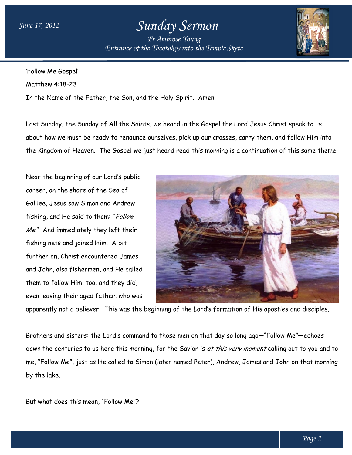## *Sunday Sermon*

*Entrance of the Entrance of Theotokos into the Temple Skete Fr Ambrose Young*



'Follow Me Gospel' Matthew 4:18-23 In the Name of the Father, the Son, and the Holy Spirit. Spirit. Amen.

Last Sunday, the Sunday of All the Saints, we heard in the Gospel the Lord Jesus Christ speak to us about how we must be ready to renounce ourselves, pick up our crosses, carry them, and follow Him into the Kingdom of Heaven. The Gospel we just heard read this morning is a continuation of this same theme.

Near the beginning of our Lord's public career, on the shore of the Sea of Galilee, Jesus saw Simon and Andrew fishing, and He said to them: "Follow Me." And immediately they left their fishing nets and joined Him. A bit further on, Christ encountered James and John, also fishermen, and He called them to follow Him, too, and they did, even leaving their aged father, who was how we must be ready to renounce ourselves, pick up our crosses, compared on of Heaven. The Gospel we just heard read this morning is a the beginning of our Lord's public<br>the beginning of our Lord's public<br>r, on the shore and John, also fishermen, and He called<br>them to follow Him, too, and they did,<br>even leaving their aged father, who was<br>apparently not a believer. This was the beginning of the Lord's formation of His<br>Brothers and sisters:



apparently not a believer. This was the beginning of the Lord's formation of His apostles and disciples.

Brothers and sisters: the Lord's command to those men on that day so long ago-"Follow Me"-echoes down the centuries to us here this morning, for the Savior is *at this very moment* calling out to you and to me, "Follow Me", just as He called to Simon (later named Peter), Andrew, James and John on that morning by the lake.

But what does this mean, "Follow Me"?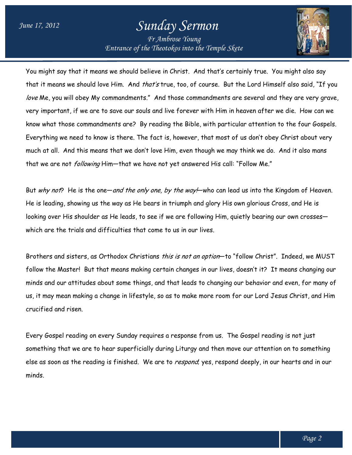## *Sunday Sermon*

*Entrance of the Entrance of Theotokos into the Temple Skete Fr Ambrose Young*



You might say that it means we should believe in Christ. And that's certainly true. You might also say ' that it means we should love Him. And *that's* true, too, of course. But the Lord Himself also said, "If you that it means we should love Him. And *that's* true, too, of course. But the Lord Himself also said, "If you<br>*love* Me, you will obey My commandments." And those commandments are several and they are very grave, very important, if we are to save our souls and live forever with Him in heaven after we die. How can we very important, if we are to save our souls and live forever with Him in heaven after we die. How can we<br>know what those commandments are? By reading the Bible, with particular attention to the four Gospels. Everything we need to know is there. The fact is, however, that most of us don't obey Christ about very Everything we need to know is there. The fact is, however, that most of us don't obey Christ about<br>much at all. And this means that we don't love Him, even though we may think we do. And it also mc that we are not *following* Him-that we have not yet answered His call: "Follow Me." reading the Bible, with particular attention to the four Gospe<br>fact is, however, that most of us don't obey Christ about ver<br>love Him, even though we may think we do. And it also mans

that we are not *following* Him—that we have not yet answered His call: "Follow Me."<br>But *why not*? He is the one—*and the only one, by the way!*—who can lead us into the Kingdom of Heaven. He is leading, showing us the way as He bears in triumph and glory His own glorious Cross, and He is looking over His shoulder as He leads, to see if we are following Him, quietly bearing our own crosses which are the trials and difficulties that come to us in our lives. He is leading, showing us the way as He bears in triumph and glory His own glorious Cross, and<br>looking over His shoulder as He leads, to see if we are following Him, quietly bearing our own c<br>which are the trials and diffi crosses—

Brothers and sisters, as Orthodox Christians *this is not an option*—to "follow Christ". Indeed, we MUST follow the Master! But that means making certain changes in our lives, doesn't it? it? It means changing our follow the Master! But that means making certain changes in our lives, doesn't it? It means changing our<br>minds and our attitudes about some things, and that leads to changing our behavior and even, for many of us, it may mean making a change in lifestyle, so as to make more room for our Lord Jesus Christ, and Him crucified and risen. us, it may mean making a change in lifestyle, so as to make more room for our Lord Jesus Christ, an<br>crucified and risen.<br>Every Gospel reading on every Sunday requires a response from us. The Gospel reading is not just

something that we are to hear superficially during Liturgy and then move our attention on to something something that we are to hear superficially during Liturgy and then move our attention on to something<br>else as soon as the reading is finished. We are to *respond,* yes, respond deeply, in our hearts and in our minds. leads to changing our behavior and even,<br>make more room for our Lord Jesus Chri<br>ponse from us. The Gospel reading is not<br>turgy and then move our attention on to :<br>spond, yes, respond deeply, in our hearts